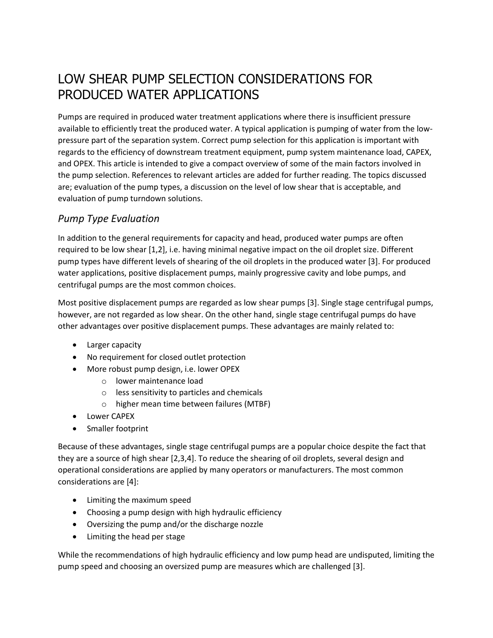# LOW SHEAR PUMP SELECTION CONSIDERATIONS FOR PRODUCED WATER APPLICATIONS

Pumps are required in produced water treatment applications where there is insufficient pressure available to efficiently treat the produced water. A typical application is pumping of water from the lowpressure part of the separation system. Correct pump selection for this application is important with regards to the efficiency of downstream treatment equipment, pump system maintenance load, CAPEX, and OPEX. This article is intended to give a compact overview of some of the main factors involved in the pump selection. References to relevant articles are added for further reading. The topics discussed are; evaluation of the pump types, a discussion on the level of low shear that is acceptable, and evaluation of pump turndown solutions.

## *Pump Type Evaluation*

In addition to the general requirements for capacity and head, produced water pumps are often required to be low shear [1,2], i.e. having minimal negative impact on the oil droplet size. Different pump types have different levels of shearing of the oil droplets in the produced water [3]. For produced water applications, positive displacement pumps, mainly progressive cavity and lobe pumps, and centrifugal pumps are the most common choices.

Most positive displacement pumps are regarded as low shear pumps [3]. Single stage centrifugal pumps, however, are not regarded as low shear. On the other hand, single stage centrifugal pumps do have other advantages over positive displacement pumps. These advantages are mainly related to:

- Larger capacity
- No requirement for closed outlet protection
- More robust pump design, i.e. lower OPEX
	- o lower maintenance load
	- o less sensitivity to particles and chemicals
	- o higher mean time between failures (MTBF)
- Lower CAPEX
- Smaller footprint

Because of these advantages, single stage centrifugal pumps are a popular choice despite the fact that they are a source of high shear [2,3,4]. To reduce the shearing of oil droplets, several design and operational considerations are applied by many operators or manufacturers. The most common considerations are [4]:

- Limiting the maximum speed
- Choosing a pump design with high hydraulic efficiency
- Oversizing the pump and/or the discharge nozzle
- Limiting the head per stage

While the recommendations of high hydraulic efficiency and low pump head are undisputed, limiting the pump speed and choosing an oversized pump are measures which are challenged [3].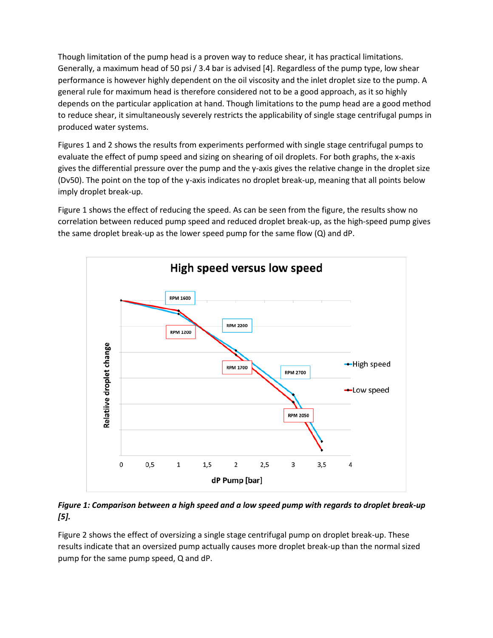Though limitation of the pump head is a proven way to reduce shear, it has practical limitations. Generally, a maximum head of 50 psi / 3.4 bar is advised [4]. Regardless of the pump type, low shear performance is however highly dependent on the oil viscosity and the inlet droplet size to the pump. A general rule for maximum head is therefore considered not to be a good approach, as it so highly depends on the particular application at hand. Though limitations to the pump head are a good method to reduce shear, it simultaneously severely restricts the applicability of single stage centrifugal pumps in produced water systems.

Figures 1 and 2 shows the results from experiments performed with single stage centrifugal pumps to evaluate the effect of pump speed and sizing on shearing of oil droplets. For both graphs, the x-axis gives the differential pressure over the pump and the y-axis gives the relative change in the droplet size (Dv50). The point on the top of the y-axis indicates no droplet break-up, meaning that all points below imply droplet break-up.

Figure 1 shows the effect of reducing the speed. As can be seen from the figure, the results show no correlation between reduced pump speed and reduced droplet break-up, as the high-speed pump gives the same droplet break-up as the lower speed pump for the same flow (Q) and dP.



*Figure 1: Comparison between a high speed and a low speed pump with regards to droplet break-up [5].*

Figure 2 shows the effect of oversizing a single stage centrifugal pump on droplet break-up. These results indicate that an oversized pump actually causes more droplet break-up than the normal sized pump for the same pump speed, Q and dP.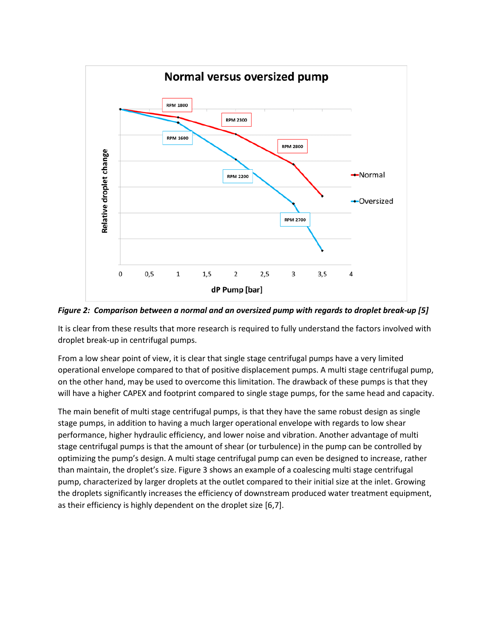

*Figure 2: Comparison between a normal and an oversized pump with regards to droplet break-up [5]*

It is clear from these results that more research is required to fully understand the factors involved with droplet break-up in centrifugal pumps.

From a low shear point of view, it is clear that single stage centrifugal pumps have a very limited operational envelope compared to that of positive displacement pumps. A multi stage centrifugal pump, on the other hand, may be used to overcome this limitation. The drawback of these pumps is that they will have a higher CAPEX and footprint compared to single stage pumps, for the same head and capacity.

The main benefit of multi stage centrifugal pumps, is that they have the same robust design as single stage pumps, in addition to having a much larger operational envelope with regards to low shear performance, higher hydraulic efficiency, and lower noise and vibration. Another advantage of multi stage centrifugal pumps is that the amount of shear (or turbulence) in the pump can be controlled by optimizing the pump's design. A multi stage centrifugal pump can even be designed to increase, rather than maintain, the droplet's size. Figure 3 shows an example of a coalescing multi stage centrifugal pump, characterized by larger droplets at the outlet compared to their initial size at the inlet. Growing the droplets significantly increases the efficiency of downstream produced water treatment equipment, as their efficiency is highly dependent on the droplet size [6,7].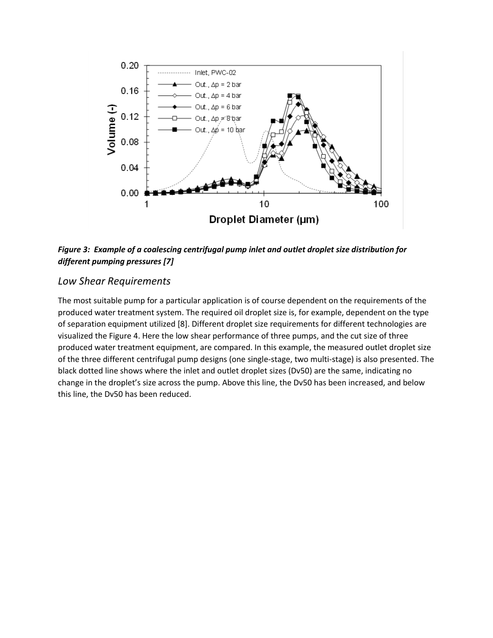

*Figure 3: Example of a coalescing centrifugal pump inlet and outlet droplet size distribution for different pumping pressures [7]*

### *Low Shear Requirements*

The most suitable pump for a particular application is of course dependent on the requirements of the produced water treatment system. The required oil droplet size is, for example, dependent on the type of separation equipment utilized [8]. Different droplet size requirements for different technologies are visualized the Figure 4. Here the low shear performance of three pumps, and the cut size of three produced water treatment equipment, are compared. In this example, the measured outlet droplet size of the three different centrifugal pump designs (one single-stage, two multi-stage) is also presented. The black dotted line shows where the inlet and outlet droplet sizes (Dv50) are the same, indicating no change in the droplet's size across the pump. Above this line, the Dv50 has been increased, and below this line, the Dv50 has been reduced.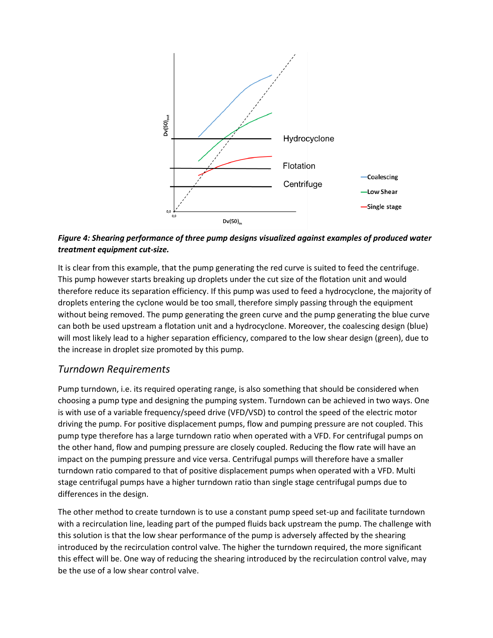

*Figure 4: Shearing performance of three pump designs visualized against examples of produced water treatment equipment cut-size.*

It is clear from this example, that the pump generating the red curve is suited to feed the centrifuge. This pump however starts breaking up droplets under the cut size of the flotation unit and would therefore reduce its separation efficiency. If this pump was used to feed a hydrocyclone, the majority of droplets entering the cyclone would be too small, therefore simply passing through the equipment without being removed. The pump generating the green curve and the pump generating the blue curve can both be used upstream a flotation unit and a hydrocyclone. Moreover, the coalescing design (blue) will most likely lead to a higher separation efficiency, compared to the low shear design (green), due to the increase in droplet size promoted by this pump.

#### *Turndown Requirements*

Pump turndown, i.e. its required operating range, is also something that should be considered when choosing a pump type and designing the pumping system. Turndown can be achieved in two ways. One is with use of a variable frequency/speed drive (VFD/VSD) to control the speed of the electric motor driving the pump. For positive displacement pumps, flow and pumping pressure are not coupled. This pump type therefore has a large turndown ratio when operated with a VFD. For centrifugal pumps on the other hand, flow and pumping pressure are closely coupled. Reducing the flow rate will have an impact on the pumping pressure and vice versa. Centrifugal pumps will therefore have a smaller turndown ratio compared to that of positive displacement pumps when operated with a VFD. Multi stage centrifugal pumps have a higher turndown ratio than single stage centrifugal pumps due to differences in the design.

The other method to create turndown is to use a constant pump speed set-up and facilitate turndown with a recirculation line, leading part of the pumped fluids back upstream the pump. The challenge with this solution is that the low shear performance of the pump is adversely affected by the shearing introduced by the recirculation control valve. The higher the turndown required, the more significant this effect will be. One way of reducing the shearing introduced by the recirculation control valve, may be the use of a low shear control valve.